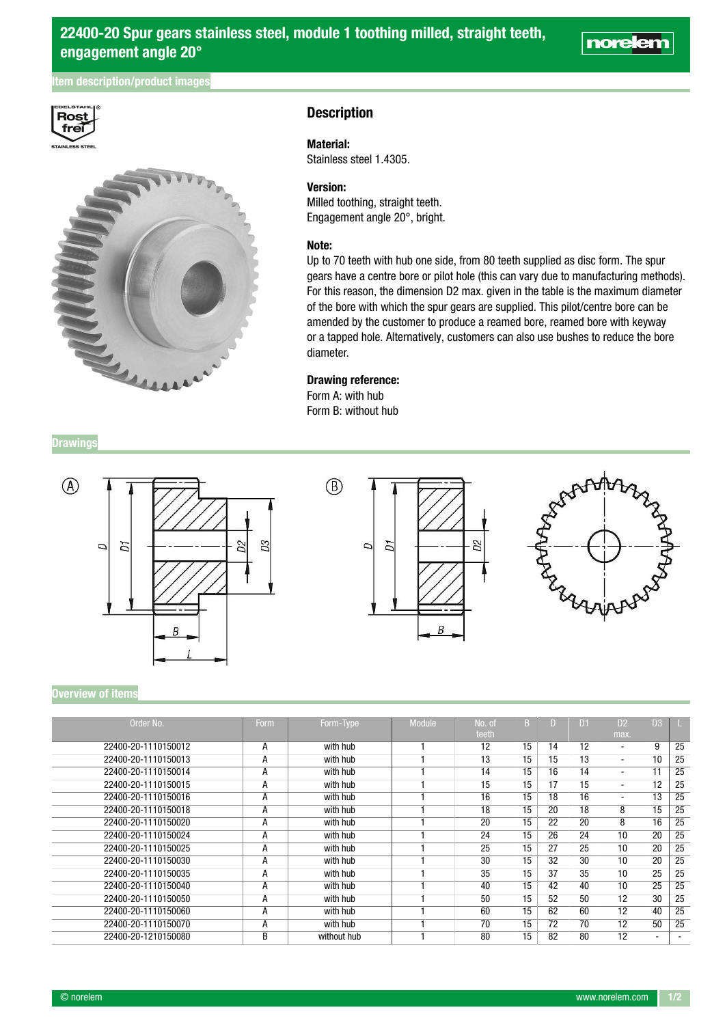# tem description/product images





# **Description**

## Material:

Stainless steel 1.4305.

## Version:

Milled toothing, straight teeth. Engagement angle 20°, bright.

#### Note:

Up to 70 teeth with hub one side, from 80 teeth supplied as disc form. The spur gears have a centre bore or pilot hole (this can vary due to manufacturing methods). For this reason, the dimension D2 max. given in the table is the maximum diameter of the bore with which the spur gears are supplied. This pilot/centre bore can be amended by the customer to produce a reamed bore, reamed bore with keyway or a tapped hole. Alternatively, customers can also use bushes to reduce the bore diameter.

### Drawing reference:

Form A: with hub Form B: without hub

**Drawings** 







norelem

#### Overview of items

| Order No.           | Form |             | <b>Module</b> | No. of |    |    | Dí | D <sub>2</sub>           |                          |    |
|---------------------|------|-------------|---------------|--------|----|----|----|--------------------------|--------------------------|----|
|                     |      | Form-Type   |               | teeth  |    |    |    | max.                     | D3                       |    |
| 22400-20-1110150012 | A    | with hub    |               | 12     | 15 | 14 | 12 | ۰                        | 9                        | 25 |
| 22400-20-1110150013 | А    | with hub    |               | 13     | 15 | 15 | 13 | ۰                        | 10                       | 25 |
| 22400-20-1110150014 | A    | with hub    |               | 14     | 15 | 16 | 14 | ۰                        | 11                       | 25 |
| 22400-20-1110150015 | А    | with hub    |               | 15     | 15 | 17 | 15 | -                        | 12                       | 25 |
| 22400-20-1110150016 | А    | with hub    |               | 16     | 15 | 18 | 16 | $\overline{\phantom{0}}$ | 13                       | 25 |
| 22400-20-1110150018 | А    | with hub    |               | 18     | 15 | 20 | 18 | 8                        | 15                       | 25 |
| 22400-20-1110150020 | A    | with hub    |               | 20     | 15 | 22 | 20 | 8                        | 16                       | 25 |
| 22400-20-1110150024 | А    | with hub    |               | 24     | 15 | 26 | 24 | 10                       | 20                       | 25 |
| 22400-20-1110150025 | А    | with hub    |               | 25     | 15 | 27 | 25 | 10                       | 20                       | 25 |
| 22400-20-1110150030 | А    | with hub    |               | 30     | 15 | 32 | 30 | 10                       | 20                       | 25 |
| 22400-20-1110150035 | А    | with hub    |               | 35     | 15 | 37 | 35 | 10                       | 25                       | 25 |
| 22400-20-1110150040 | Α    | with hub    |               | 40     | 15 | 42 | 40 | 10                       | 25                       | 25 |
| 22400-20-1110150050 | Α    | with hub    |               | 50     | 15 | 52 | 50 | 12                       | 30                       | 25 |
| 22400-20-1110150060 | А    | with hub    |               | 60     | 15 | 62 | 60 | 12                       | 40                       | 25 |
| 22400-20-1110150070 | А    | with hub    |               | 70     | 15 | 72 | 70 | 12                       | 50                       | 25 |
| 22400-20-1210150080 | B    | without hub |               | 80     | 15 | 82 | 80 | 12                       | $\overline{\phantom{0}}$ |    |